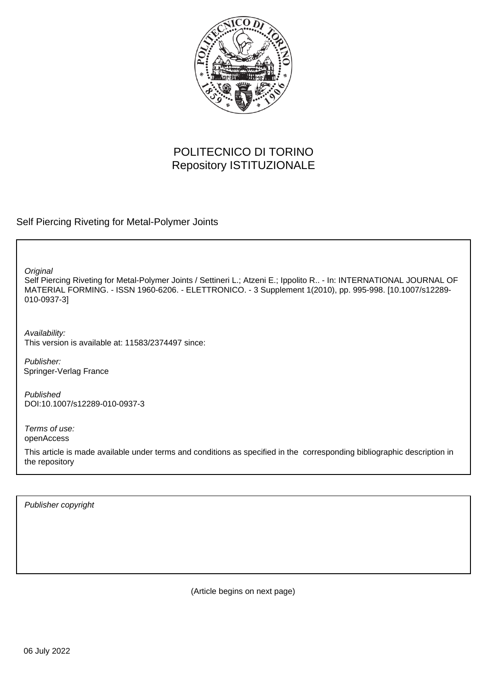

# POLITECNICO DI TORINO Repository ISTITUZIONALE

Self Piercing Riveting for Metal-Polymer Joints

**Original** 

Self Piercing Riveting for Metal-Polymer Joints / Settineri L.; Atzeni E.; Ippolito R.. - In: INTERNATIONAL JOURNAL OF MATERIAL FORMING. - ISSN 1960-6206. - ELETTRONICO. - 3 Supplement 1(2010), pp. 995-998. [10.1007/s12289- 010-0937-3]

Availability: This version is available at: 11583/2374497 since:

Publisher: Springer-Verlag France

Published DOI:10.1007/s12289-010-0937-3

Terms of use: openAccess

This article is made available under terms and conditions as specified in the corresponding bibliographic description in the repository

Publisher copyright

(Article begins on next page)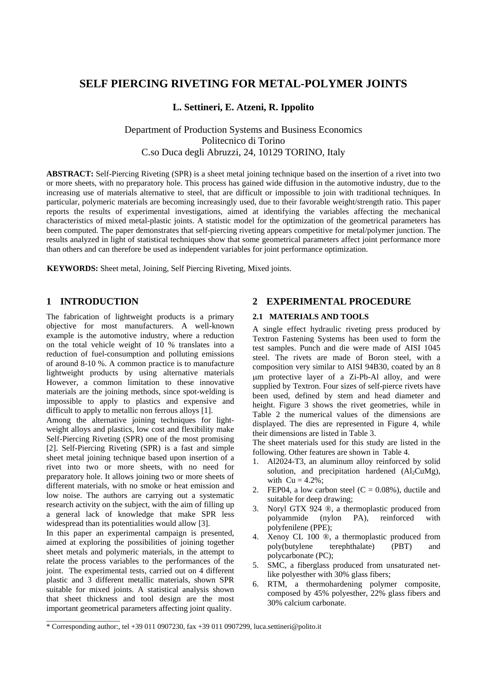## **SELF PIERCING RIVETING FOR METAL-POLYMER JOINTS**

## **L. Settineri, E. Atzeni, R. Ippolito**

Department of Production Systems and Business Economics Politecnico di Torino C.so Duca degli Abruzzi, 24, 10129 TORINO, Italy

**ABSTRACT:** Self-Piercing Riveting (SPR) is a sheet metal joining technique based on the insertion of a rivet into two or more sheets, with no preparatory hole. This process has gained wide diffusion in the automotive industry, due to the increasing use of materials alternative to steel, that are difficult or impossible to join with traditional techniques. In particular, polymeric materials are becoming increasingly used, due to their favorable weight/strength ratio. This paper reports the results of experimental investigations, aimed at identifying the variables affecting the mechanical characteristics of mixed metal-plastic joints. A statistic model for the optimization of the geometrical parameters has been computed. The paper demonstrates that self-piercing riveting appears competitive for metal/polymer junction. The results analyzed in light of statistical techniques show that some geometrical parameters affect joint performance more than others and can therefore be used as independent variables for joint performance optimization.

**KEYWORDS:** Sheet metal, Joining, Self Piercing Riveting, Mixed joints.

## **1 INTRODUCTION**

The fabrication of lightweight products is a primary objective for most manufacturers. A well-known example is the automotive industry, where a reduction on the total vehicle weight of 10 % translates into a reduction of fuel-consumption and polluting emissions of around 8-10 %. A common practice is to manufacture lightweight products by using alternative materials However, a common limitation to these innovative materials are the joining methods, since spot-welding is impossible to apply to plastics and expensive and difficult to apply to metallic non ferrous alloys [1].

Among the alternative joining techniques for lightweight alloys and plastics, low cost and flexibility make Self-Piercing Riveting (SPR) one of the most promising [2]. Self-Piercing Riveting (SPR) is a fast and simple sheet metal joining technique based upon insertion of a rivet into two or more sheets, with no need for preparatory hole. It allows joining two or more sheets of different materials, with no smoke or heat emission and low noise. The authors are carrying out a systematic research activity on the subject, with the aim of filling up a general lack of knowledge that make SPR less widespread than its potentialities would allow [3].

In this paper an experimental campaign is presented, aimed at exploring the possibilities of joining together sheet metals and polymeric materials, in the attempt to relate the process variables to the performances of the joint. The experimental tests, carried out on 4 different plastic and 3 different metallic materials, shown SPR suitable for mixed joints. A statistical analysis shown that sheet thickness and tool design are the most important geometrical parameters affecting joint quality.

\_\_\_\_\_\_\_\_\_\_\_\_\_\_\_\_\_\_\_\_

## **2 EXPERIMENTAL PROCEDURE**

#### **2.1 MATERIALS AND TOOLS**

A single effect hydraulic riveting press produced by Textron Fastening Systems has been used to form the test samples. Punch and die were made of AISI 1045 steel. The rivets are made of Boron steel, with a composition very similar to AISI 94B30, coated by an 8 μm protective layer of a Zi-Pb-Al alloy, and were supplied by Textron. Four sizes of self-pierce rivets have been used, defined by stem and head diameter and height. Figure 3 shows the rivet geometries, while in Table 2 the numerical values of the dimensions are displayed. The dies are represented in Figure 4, while their dimensions are listed in Table 3.

The sheet materials used for this study are listed in the following. Other features are shown in Table 4.

- 1. Al2024-T3, an aluminum alloy reinforced by solid solution, and precipitation hardened  $(A_1, C u Mg)$ , with  $Cu = 4.2\%$ :
- 2. FEP04, a low carbon steel  $(C = 0.08\%)$ , ductile and suitable for deep drawing;
- 3. Noryl GTX 924 ®, a thermoplastic produced from polyammide (nylon PA), reinforced with polyfenilene (PPE);
- 4. Xenoy CL 100 ®, a thermoplastic produced from poly(butylene terephthalate) (PBT) and polycarbonate (PC);
- 5. SMC, a fiberglass produced from unsaturated netlike polyesther with 30% glass fibers;
- 6. RTM, a thermohardening polymer composite, composed by 45% polyesther, 22% glass fibers and 30% calcium carbonate.

<sup>\*</sup> Corresponding author:, tel +39 011 0907230, fax +39 011 0907299, luca.settineri@polito.it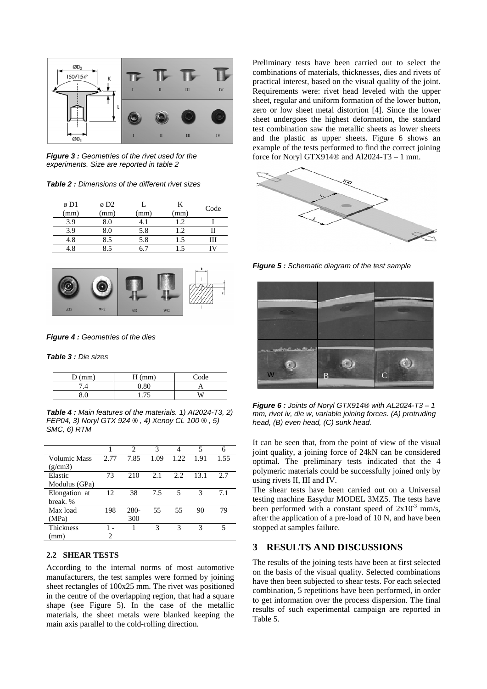

*Figure 3 : Geometries of the rivet used for the experiments. Size are reported in table 2* 

*Table 2 : Dimensions of the different rivet sizes* 

| ø D1 | $\emptyset$ D <sub>2</sub> |      |      | Code |
|------|----------------------------|------|------|------|
| (mm) | (mm)                       | (mm) | (mm) |      |
| 3.9  | 8.0                        |      |      |      |
| 3.9  | ₹Ω                         | 5.8  |      |      |
|      | 8.5                        | 5.8  | .5   |      |
|      |                            |      |      |      |



*Figure 4 : Geometries of the dies*

*Table 3 : Die sizes* 

| $D$ (mm) | $H$ (mm) | Code |
|----------|----------|------|
| .4       | 0.80     |      |
|          | 75       |      |

*Table 4 : Main features of the materials. 1) AI2024-T3, 2) FEP04, 3) Noryl GTX 924 ® , 4) Xenoy CL 100 ® , 5) SMC, 6) RTM* 

|               |      | $\mathfrak{D}$ | 3    | 4     | 5    | 6    |
|---------------|------|----------------|------|-------|------|------|
| Volumic Mass  | 2.77 | 7.85           | 1.09 | 1.22. | 1.91 | 1.55 |
| (g/cm3)       |      |                |      |       |      |      |
| Elastic       | 73   | 210            | 2.1  | 2.2   | 13.1 | 2.7  |
| Modulus (GPa) |      |                |      |       |      |      |
| Elongation at | 12   | 38             | 7.5  | 5     | 3    | 7.1  |
| break. %      |      |                |      |       |      |      |
| Max load      | 198  | 280-           | 55   | 55    | 90   | 79   |
| (MPa)         |      | 300            |      |       |      |      |
| Thickness     |      |                | 3    | 3     | 3    | 5    |
| (mm)          |      |                |      |       |      |      |

#### **2.2 SHEAR TESTS**

According to the internal norms of most automotive manufacturers, the test samples were formed by joining sheet rectangles of 100x25 mm. The rivet was positioned in the centre of the overlapping region, that had a square shape (see Figure 5). In the case of the metallic materials, the sheet metals were blanked keeping the main axis parallel to the cold-rolling direction.

Preliminary tests have been carried out to select the combinations of materials, thicknesses, dies and rivets of practical interest, based on the visual quality of the joint. Requirements were: rivet head leveled with the upper sheet, regular and uniform formation of the lower button, zero or low sheet metal distortion [4]. Since the lower sheet undergoes the highest deformation, the standard test combination saw the metallic sheets as lower sheets and the plastic as upper sheets. Figure 6 shows an example of the tests performed to find the correct joining force for Noryl GTX914® and Al2024-T3 – 1 mm.



*Figure 5 : Schematic diagram of the test sample*



*Figure 6 : Joints of Noryl GTX914® with AL2024-T3 – 1 mm, rivet iv, die w, variable joining forces. (A) protruding head, (B) even head, (C) sunk head.*

It can be seen that, from the point of view of the visual joint quality, a joining force of 24kN can be considered optimal. The preliminary tests indicated that the 4 polymeric materials could be successfully joined only by using rivets II, III and IV.

The shear tests have been carried out on a Universal testing machine Easydur MODEL 3MZ5. The tests have been performed with a constant speed of  $2x10^{-3}$  mm/s, after the application of a pre-load of 10 N, and have been stopped at samples failure.

#### **3 RESULTS AND DISCUSSIONS**

The results of the joining tests have been at first selected on the basis of the visual quality. Selected combinations have then been subjected to shear tests. For each selected combination, 5 repetitions have been performed, in order to get information over the process dispersion. The final results of such experimental campaign are reported in Table 5.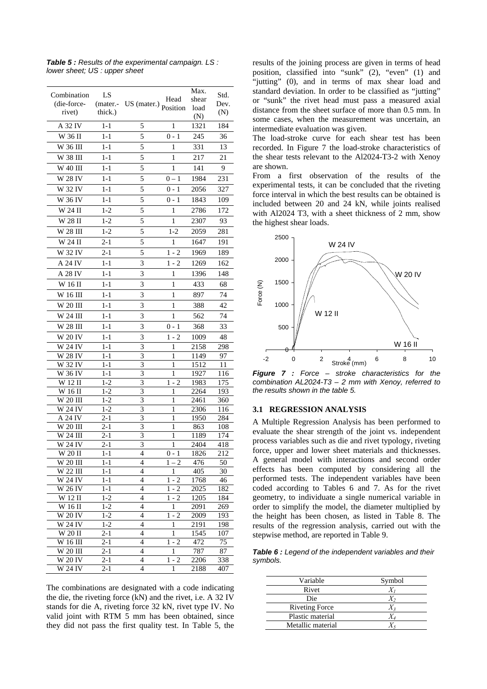| Combination           | LS                 |                |                    | Max.         | Std.       |
|-----------------------|--------------------|----------------|--------------------|--------------|------------|
| (die-force-           | (mater.-           | US (mater.)    | Head               | shear        | Dev.       |
| rivet)                | thick.)            |                | Position           | load<br>(N)  | (N)        |
| A 32 IV               | $1 - 1$            | 5              | 1                  | 1321         | 184        |
| W 36 II               | $1 - 1$            | 5              | $0 - 1$            | 245          | 36         |
| W 36 III              | $1 - 1$            | 5              | 1                  | 331          | 13         |
| W 38 III              | 1-1                | 5              | 1                  | 217          | 21         |
| W 40 III              | $1 - 1$            | 5              | 1                  | 141          | 9          |
| W 28 IV               | $1 - 1$            | 5              | $0 - 1$            | 1984         | 231        |
| W 32 IV               | $1 - 1$            | 5              | $0 - 1$            | 2056         | 327        |
| W 36 IV               | $1 - 1$            | 5              | $0 - 1$            | 1843         | 109        |
| W 24 II               | $1 - 2$            | 5              | 1                  | 2786         | 172        |
|                       |                    | 5              | 1                  |              |            |
| W 28 II               | $1-2$              |                |                    | 2307         | 93         |
| W 28 III              | $1 - 2$            | 5              | $1 - 2$            | 2059         | 281        |
| W 24 II               | $2 - 1$            | 5              | 1                  | 1647         | 191        |
| W 32 IV               | $2 - 1$            | 5              | $1 - 2$            | 1969         | 189        |
| A 24 IV               | 1-1                | 3              | $1 - 2$            | 1269         | 162        |
| A 28 IV               | $1 - 1$            | 3              | 1                  | 1396         | 148        |
| W 16 II               | $1 - 1$            | 3              | 1                  | 433          | 68         |
| W 16 III              | $1 - 1$            | 3              | 1                  | 897          | 74         |
| W 20 III              | $1 - 1$            | 3              | 1                  | 388          | 42         |
| W 24 III              | $1 - 1$            | 3              | 1                  | 562          | 74         |
| W 28 III              | 1-1                | 3              | $0 - 1$            | 368          | 33         |
| W 20 IV               | $1 - 1$            | 3              | $1 - 2$            | 1009         | 48         |
| W 24 IV               | 1-1                | 3              | 1                  | 2158         | 298        |
| W 28 IV               | $1 - 1$            | 3              | 1                  | 1149         | 97         |
| W 32 IV               | 1-1                | 3              | 1                  | 1512         | 11         |
| $\overline{W}$ 36 IV  | $1 - 1$            | 3              | 1                  | 1927         | 116        |
| W 12 II               | 1-2                | 3              | $-2$<br>1          | 1983         | 175        |
| W 16 II               | $1-2$              | 3              | 1                  | 2264         | 193        |
| W 20 III<br>W 24 IV   | 1-2<br>$1 - 2$     | 3<br>3         | 1<br>1             | 2461         | 360        |
| A 24 IV               | $2 - 1$            | 3              | 1                  | 2306<br>1950 | 116<br>284 |
| W 20 III              | 2-1                | 3              | 1                  | 863          | 108        |
| W 24 III              | $2 - 1$            | 3              | 1                  | 1189         | 174        |
| W 24 IV               | $2-1$              | 3              | 1                  | 2404         | 418        |
| $W 20$ II             | $1 - 1$            | $\overline{4}$ | $0 - 1$            | 1826         | 212        |
| W 20 III              | 1-1                | 4              | $1 - 2$            | 476          | 50         |
| $\overline{W}$ 22 III | $1 - 1$            | 4              | 1                  | 405          | 30         |
| W 24 IV               | 1-1                | 4              | $1 - 2$            | 1768         | 46         |
| W 26 IV<br>W 12 II    | $1 - 1$<br>$1 - 2$ | 4<br>4         | $1 - 2$<br>$1 - 2$ | 2025<br>1205 | 182<br>184 |
| W 16 II               | $1 - 2$            | 4              | $\overline{1}$     | 2091         | 269        |
| $\overline{W}$ 20 IV  | $1-2$              | 4              | $1 - 2$            | 2009         | 193        |
| $\overline{W}$ 24 IV  | $1-2$              | 4              | 1                  | 2191         | 198        |
| W 20 II               | $2-1$              | 4              | 1                  | 1545         | 107        |
| W 16 III              | 2-1                | 4              | $1 - 2$            | 472          | 75         |
| W 20 III              | $2 - 1$            | 4              | $\mathbf{1}$       | 787          | 87         |
| W 20 IV               | $2 - 1$            | 4              | 1 - 2              | 2206         | 338        |
| W 24 IV               | 2-1                | 4              | 1                  | 2188         | 407        |

*Table 5 : Results of the experimental campaign. LS : lower sheet; US : upper sheet* 

The combinations are designated with a code indicating the die, the riveting force (kN) and the rivet, i.e. A 32 IV stands for die A, riveting force 32 kN, rivet type IV. No valid joint with RTM 5 mm has been obtained, since they did not pass the first quality test. In Table 5, the results of the joining process are given in terms of head position, classified into "sunk" (2), "even" (1) and "jutting" (0), and in terms of max shear load and standard deviation. In order to be classified as "jutting" or "sunk" the rivet head must pass a measured axial distance from the sheet surface of more than 0.5 mm. In some cases, when the measurement was uncertain, an intermediate evaluation was given.

The load-stroke curve for each shear test has been recorded. In Figure 7 the load-stroke characteristics of the shear tests relevant to the Al2024-T3-2 with Xenoy are shown.

From a first observation of the results of the experimental tests, it can be concluded that the riveting force interval in which the best results can be obtained is included between 20 and 24 kN, while joints realised with Al2024 T3, with a sheet thickness of 2 mm, show the highest shear loads.



*Figure 7 : Force – stroke characteristics for the combination AL2024-T3 – 2 mm with Xenoy, referred to the results shown in the table 5.* 

#### **3.1 REGRESSION ANALYSIS**

A Multiple Regression Analysis has been performed to evaluate the shear strength of the joint vs. independent process variables such as die and rivet typology, riveting force, upper and lower sheet materials and thicknesses. A general model with interactions and second order effects has been computed by considering all the performed tests. The independent variables have been coded according to Tables 6 and 7. As for the rivet geometry, to individuate a single numerical variable in order to simplify the model, the diameter multiplied by the height has been chosen, as listed in Table 8. The results of the regression analysis, carried out with the stepwise method, are reported in Table 9.

*Table 6 : Legend of the independent variables and their symbols.*

| Variable              | Symbol |
|-----------------------|--------|
| Rivet                 |        |
| Die                   |        |
| <b>Riveting Force</b> |        |
| Plastic material      |        |
| Metallic material     |        |